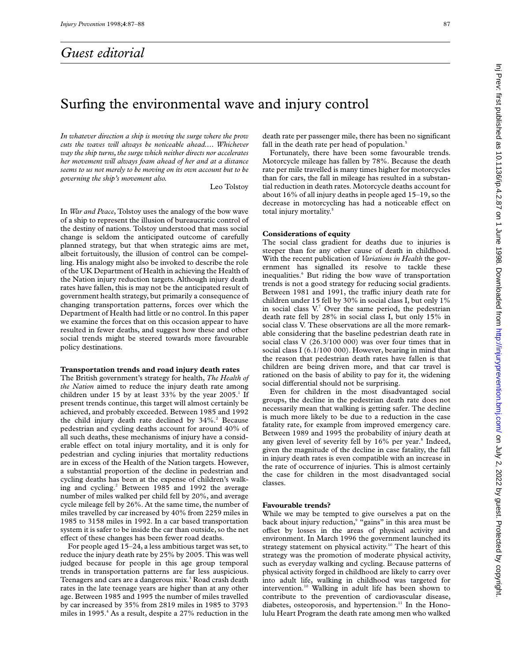# *Guest editorial*

# Inj Prev: first published as 10.1136/ip.4.2.87 on 1 June 1998. Downloaded from http://injuryprevention.bmj.com/ on July 2, 2022 by guest. Protected by copyright in Prev: first published as 10.1136/ip.4.2.87 on 1197. And by compublished the man first published from the state of the state of the state of the state of  $\sim$  11136/ip.4.1.2.87 on 1 June 1998. Downloaded from http://inju

# Surfing the environmental wave and injury control

*In whatever direction a ship is moving the surge where the prow cuts the waves will always be noticeable ahead.... Whichever way the ship turns,the surge which neither directs nor accelerates her movement will always foam ahead of her and at a distance seems to us not merely to be moving on its own account but to be governing the ship's movement also.*

Leo Tolstoy

In *War and Peace*, Tolstoy uses the analogy of the bow wave of a ship to represent the illusion of bureaucratic control of the destiny of nations. Tolstoy understood that mass social change is seldom the anticipated outcome of carefully planned strategy, but that when strategic aims are met, albeit fortuitously, the illusion of control can be compelling. His analogy might also be invoked to describe the role of the UK Department of Health in achieving the Health of the Nation injury reduction targets. Although injury death rates have fallen, this is may not be the anticipated result of government health strategy, but primarily a consequence of changing transportation patterns, forces over which the Department of Health had little or no control. In this paper we examine the forces that on this occasion appear to have resulted in fewer deaths, and suggest how these and other social trends might be steered towards more favourable policy destinations.

### **Transportation trends and road injury death rates**

The British government's strategy for health, *The Health of the Nation* aimed to reduce the injury death rate among children under 15 by at least 33% by the year  $2005<sup>1</sup>$  If present trends continue, this target will almost certainly be achieved, and probably exceeded. Between 1985 and 1992 the child injury death rate declined by  $34\%$ .<sup>2</sup> Because pedestrian and cycling deaths account for around 40% of all such deaths, these mechanisms of injury have a considerable effect on total injury mortality, and it is only for pedestrian and cycling injuries that mortality reductions are in excess of the Health of the Nation targets. However, a substantial proportion of the decline in pedestrian and cycling deaths has been at the expense of children's walking and cycling.<sup>2</sup> Between 1985 and 1992 the average number of miles walked per child fell by 20%, and average cycle mileage fell by 26%. At the same time, the number of miles travelled by car increased by 40% from 2259 miles in 1985 to 3158 miles in 1992. In a car based transportation system it is safer to be inside the car than outside, so the net effect of these changes has been fewer road deaths.

For people aged 15–24, a less ambitious target was set, to reduce the injury death rate by 25% by 2005. This was well judged because for people in this age group temporal trends in transportation patterns are far less auspicious. Teenagers and cars are a dangerous mix.<sup>3</sup> Road crash death rates in the late teenage years are higher than at any other age. Between 1985 and 1995 the number of miles travelled by car increased by 35% from 2819 miles in 1985 to 3793 miles in 1995.<sup>4</sup> As a result, despite a 27% reduction in the

death rate per passenger mile, there has been no significant fall in the death rate per head of population.<sup>5</sup>

Fortunately, there have been some favourable trends. Motorcycle mileage has fallen by 78%. Because the death rate per mile travelled is many times higher for motorcycles than for cars, the fall in mileage has resulted in a substantial reduction in death rates. Motorcycle deaths account for about 16% of all injury deaths in people aged 15–19, so the decrease in motorcycling has had a noticeable effect on total injury mortality.<sup>5</sup>

## **Considerations of equity**

The social class gradient for deaths due to injuries is steeper than for any other cause of death in childhood. With the recent publication of *Variations in Health* the government has signalled its resolve to tackle these inequalities.<sup>6</sup> But riding the bow wave of transportation trends is not a good strategy for reducing social gradients. Between 1981 and 1991, the traffic injury death rate for children under 15 fell by 30% in social class I, but only 1% in social class  $V<sup>7</sup>$  Over the same period, the pedestrian death rate fell by 28% in social class I, but only 15% in social class V. These observations are all the more remarkable considering that the baseline pedestrian death rate in social class V (26.3/100 000) was over four times that in social class I (6.1/100 000). However, bearing in mind that the reason that pedestrian death rates have fallen is that children are being driven more, and that car travel is rationed on the basis of ability to pay for it, the widening social differential should not be surprising.

Even for children in the most disadvantaged social groups, the decline in the pedestrian death rate does not necessarily mean that walking is getting safer. The decline is much more likely to be due to a reduction in the case fatality rate, for example from improved emergency care. Between 1989 and 1995 the probability of injury death at any given level of severity fell by 16% per year.<sup>8</sup> Indeed, given the magnitude of the decline in case fatality, the fall in injury death rates is even compatible with an increase in the rate of occurrence of injuries. This is almost certainly the case for children in the most disadvantaged social classes.

### **Favourable trends?**

While we may be tempted to give ourselves a pat on the back about injury reduction,<sup>9</sup> "gains" in this area must be offset by losses in the areas of physical activity and environment. In March 1996 the government launched its strategy statement on physical activity.<sup>10</sup> The heart of this strategy was the promotion of moderate physical activity, such as everyday walking and cycling. Because patterns of physical activity forged in childhood are likely to carry over into adult life, walking in childhood was targeted for intervention.10 Walking in adult life has been shown to contribute to the prevention of cardiovascular disease, diabetes, osteoporosis, and hypertension.<sup>11</sup> In the Honolulu Heart Program the death rate among men who walked